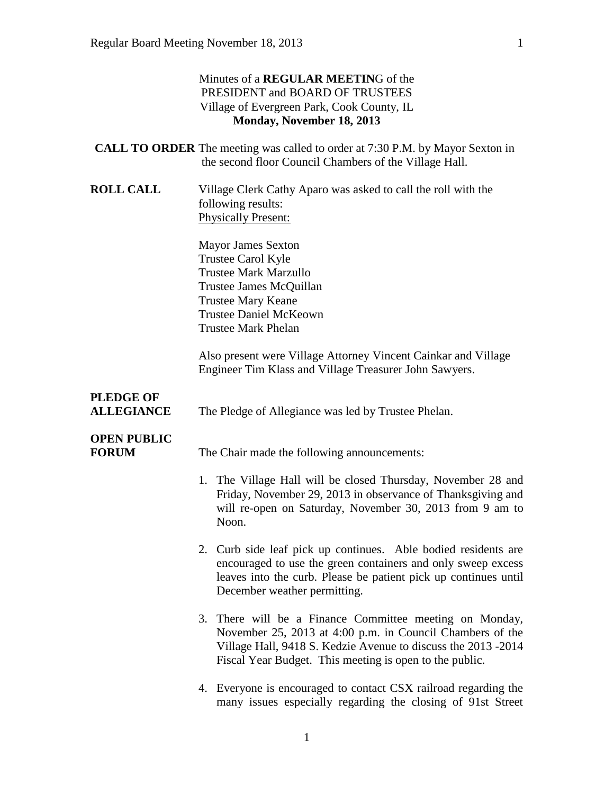#### Minutes of a **REGULAR MEETIN**G of the PRESIDENT and BOARD OF TRUSTEES Village of Evergreen Park, Cook County, IL **Monday, November 18, 2013**

|                                       | <b>CALL TO ORDER</b> The meeting was called to order at 7:30 P.M. by Mayor Sexton in<br>the second floor Council Chambers of the Village Hall.                                                                |
|---------------------------------------|---------------------------------------------------------------------------------------------------------------------------------------------------------------------------------------------------------------|
| <b>ROLL CALL</b>                      | Village Clerk Cathy Aparo was asked to call the roll with the<br>following results:<br><b>Physically Present:</b>                                                                                             |
|                                       | <b>Mayor James Sexton</b><br><b>Trustee Carol Kyle</b><br><b>Trustee Mark Marzullo</b><br>Trustee James McQuillan<br><b>Trustee Mary Keane</b><br><b>Trustee Daniel McKeown</b><br><b>Trustee Mark Phelan</b> |
|                                       | Also present were Village Attorney Vincent Cainkar and Village<br>Engineer Tim Klass and Village Treasurer John Sawyers.                                                                                      |
| <b>PLEDGE OF</b><br><b>ALLEGIANCE</b> | The Pledge of Allegiance was led by Trustee Phelan.                                                                                                                                                           |
| <b>OPEN PUBLIC</b><br><b>FORUM</b>    | The Chair made the following announcements:                                                                                                                                                                   |
|                                       | 1. The Village Hall will be closed Thursday, November 28 and<br>Friday, November 29, 2013 in observance of Thanksgiving and<br>will re-open on Saturday, November 30, 2013 from 9 am to<br>Noon.              |
|                                       | 2. Curb side leaf pick up continues. Able bodied residents are                                                                                                                                                |

- encouraged to use the green containers and only sweep excess leaves into the curb. Please be patient pick up continues until December weather permitting.
- 3. There will be a Finance Committee meeting on Monday, November 25, 2013 at 4:00 p.m. in Council Chambers of the Village Hall, 9418 S. Kedzie Avenue to discuss the 2013 -2014 Fiscal Year Budget. This meeting is open to the public.
- 4. Everyone is encouraged to contact CSX railroad regarding the many issues especially regarding the closing of 91st Street

1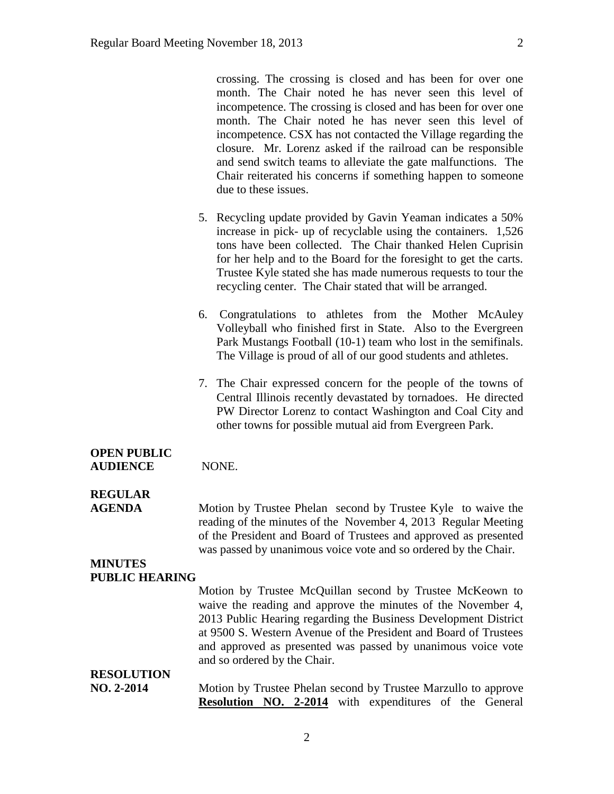crossing. The crossing is closed and has been for over one month. The Chair noted he has never seen this level of incompetence. The crossing is closed and has been for over one month. The Chair noted he has never seen this level of incompetence. CSX has not contacted the Village regarding the closure. Mr. Lorenz asked if the railroad can be responsible and send switch teams to alleviate the gate malfunctions. The Chair reiterated his concerns if something happen to someone due to these issues.

- 5. Recycling update provided by Gavin Yeaman indicates a 50% increase in pick- up of recyclable using the containers. 1,526 tons have been collected. The Chair thanked Helen Cuprisin for her help and to the Board for the foresight to get the carts. Trustee Kyle stated she has made numerous requests to tour the recycling center. The Chair stated that will be arranged.
- 6. Congratulations to athletes from the Mother McAuley Volleyball who finished first in State. Also to the Evergreen Park Mustangs Football (10-1) team who lost in the semifinals. The Village is proud of all of our good students and athletes.
- 7. The Chair expressed concern for the people of the towns of Central Illinois recently devastated by tornadoes. He directed PW Director Lorenz to contact Washington and Coal City and other towns for possible mutual aid from Evergreen Park.

# **OPEN PUBLIC**

**AUDIENCE** NONE.

# **REGULAR**

**AGENDA** Motion by Trustee Phelan second by Trustee Kyle to waive the reading of the minutes of the November 4, 2013 Regular Meeting of the President and Board of Trustees and approved as presented was passed by unanimous voice vote and so ordered by the Chair.

#### **MINUTES PUBLIC HEARING**

|                   | Motion by Trustee McQuillan second by Trustee McKeown to                                     |
|-------------------|----------------------------------------------------------------------------------------------|
|                   | waive the reading and approve the minutes of the November 4,                                 |
|                   | 2013 Public Hearing regarding the Business Development District                              |
|                   | at 9500 S. Western Avenue of the President and Board of Trustees                             |
|                   | and approved as presented was passed by unanimous voice vote<br>and so ordered by the Chair. |
| <b>RESOLUTION</b> |                                                                                              |
| NO. 2-2014        | Motion by Trustee Phelan second by Trustee Marzullo to approve                               |
|                   | <b>Resolution NO. 2-2014</b> with expenditures of the General                                |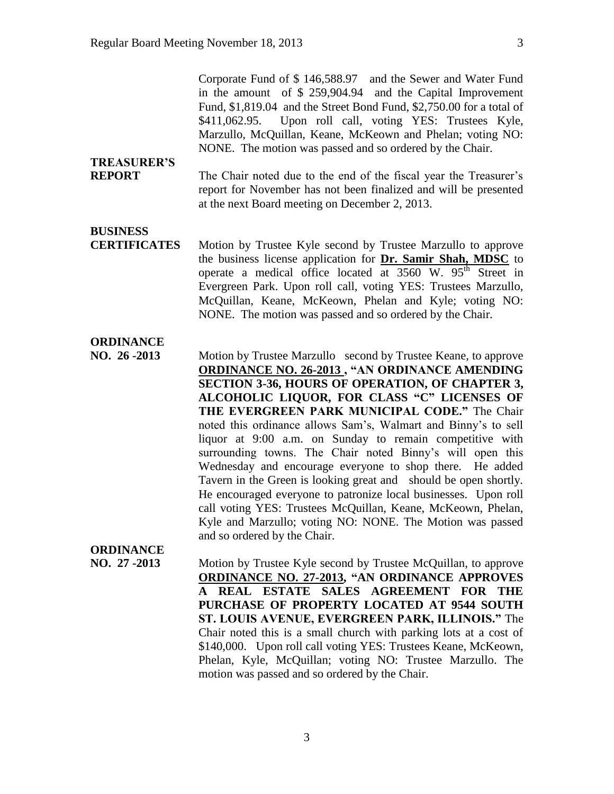Corporate Fund of \$ 146,588.97 and the Sewer and Water Fund in the amount of \$ 259,904.94 and the Capital Improvement Fund, \$1,819.04 and the Street Bond Fund, \$2,750.00 for a total of \$411,062.95. Upon roll call, voting YES: Trustees Kyle, Marzullo, McQuillan, Keane, McKeown and Phelan; voting NO: NONE. The motion was passed and so ordered by the Chair.

# **TREASURER'S**

**REPORT** The Chair noted due to the end of the fiscal year the Treasurer's report for November has not been finalized and will be presented at the next Board meeting on December 2, 2013.

# **BUSINESS**

**CERTIFICATES** Motion by Trustee Kyle second by Trustee Marzullo to approve the business license application for **Dr. Samir Shah, MDSC** to operate a medical office located at  $3560$  W.  $95<sup>th</sup>$  Street in Evergreen Park. Upon roll call, voting YES: Trustees Marzullo, McQuillan, Keane, McKeown, Phelan and Kyle; voting NO: NONE. The motion was passed and so ordered by the Chair.

## **ORDINANCE**

**NO. 26 -2013** Motion by Trustee Marzullo second by Trustee Keane, to approve **ORDINANCE NO. 26-2013 , "AN ORDINANCE AMENDING SECTION 3-36, HOURS OF OPERATION, OF CHAPTER 3, ALCOHOLIC LIQUOR, FOR CLASS "C" LICENSES OF THE EVERGREEN PARK MUNICIPAL CODE."** The Chair noted this ordinance allows Sam's, Walmart and Binny's to sell liquor at 9:00 a.m. on Sunday to remain competitive with surrounding towns. The Chair noted Binny's will open this Wednesday and encourage everyone to shop there. He added Tavern in the Green is looking great and should be open shortly. He encouraged everyone to patronize local businesses. Upon roll call voting YES: Trustees McQuillan, Keane, McKeown, Phelan, Kyle and Marzullo; voting NO: NONE. The Motion was passed and so ordered by the Chair.

# **ORDINANCE**

**NO. 27 -2013** Motion by Trustee Kyle second by Trustee McQuillan, to approve **ORDINANCE NO. 27-2013, "AN ORDINANCE APPROVES A REAL ESTATE SALES AGREEMENT FOR THE PURCHASE OF PROPERTY LOCATED AT 9544 SOUTH ST. LOUIS AVENUE, EVERGREEN PARK, ILLINOIS."** The Chair noted this is a small church with parking lots at a cost of \$140,000. Upon roll call voting YES: Trustees Keane, McKeown, Phelan, Kyle, McQuillan; voting NO: Trustee Marzullo. The motion was passed and so ordered by the Chair.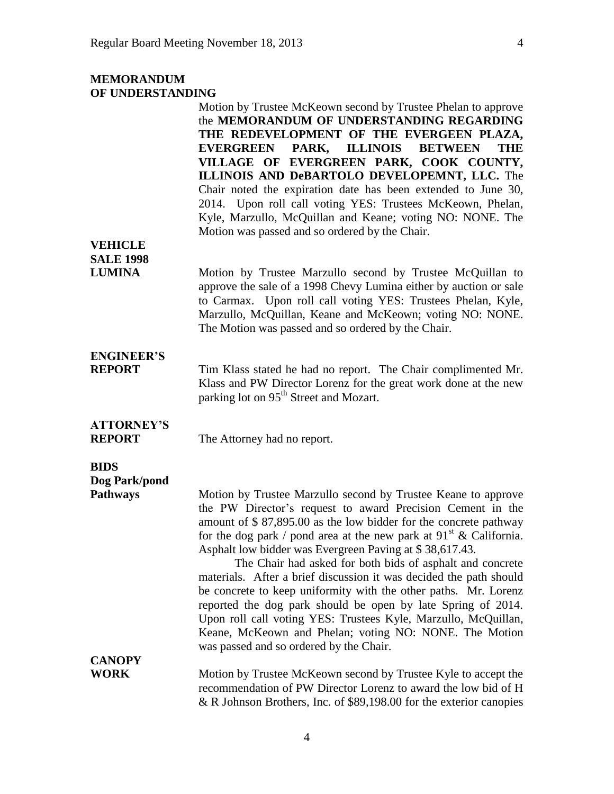## **MEMORANDUM OF UNDERSTANDING**

|                                                 | Motion by Trustee McKeown second by Trustee Phelan to approve<br>the MEMORANDUM OF UNDERSTANDING REGARDING<br>THE REDEVELOPMENT OF THE EVERGEEN PLAZA,<br><b>ILLINOIS</b><br><b>EVERGREEN</b><br>PARK,<br><b>BETWEEN</b><br><b>THE</b><br>VILLAGE OF EVERGREEN PARK, COOK COUNTY,<br>ILLINOIS AND DeBARTOLO DEVELOPEMNT, LLC. The<br>Chair noted the expiration date has been extended to June 30,<br>2014. Upon roll call voting YES: Trustees McKeown, Phelan,<br>Kyle, Marzullo, McQuillan and Keane; voting NO: NONE. The<br>Motion was passed and so ordered by the Chair.                                                                                                                                                                                                    |
|-------------------------------------------------|------------------------------------------------------------------------------------------------------------------------------------------------------------------------------------------------------------------------------------------------------------------------------------------------------------------------------------------------------------------------------------------------------------------------------------------------------------------------------------------------------------------------------------------------------------------------------------------------------------------------------------------------------------------------------------------------------------------------------------------------------------------------------------|
| <b>VEHICLE</b>                                  |                                                                                                                                                                                                                                                                                                                                                                                                                                                                                                                                                                                                                                                                                                                                                                                    |
| <b>SALE 1998</b><br><b>LUMINA</b>               | Motion by Trustee Marzullo second by Trustee McQuillan to<br>approve the sale of a 1998 Chevy Lumina either by auction or sale<br>to Carmax. Upon roll call voting YES: Trustees Phelan, Kyle,<br>Marzullo, McQuillan, Keane and McKeown; voting NO: NONE.<br>The Motion was passed and so ordered by the Chair.                                                                                                                                                                                                                                                                                                                                                                                                                                                                   |
| <b>ENGINEER'S</b><br><b>REPORT</b>              | Tim Klass stated he had no report. The Chair complimented Mr.<br>Klass and PW Director Lorenz for the great work done at the new<br>parking lot on 95 <sup>th</sup> Street and Mozart.                                                                                                                                                                                                                                                                                                                                                                                                                                                                                                                                                                                             |
| <b>ATTORNEY'S</b><br><b>REPORT</b>              | The Attorney had no report.                                                                                                                                                                                                                                                                                                                                                                                                                                                                                                                                                                                                                                                                                                                                                        |
| <b>BIDS</b><br>Dog Park/pond<br><b>Pathways</b> | Motion by Trustee Marzullo second by Trustee Keane to approve<br>the PW Director's request to award Precision Cement in the<br>amount of \$87,895.00 as the low bidder for the concrete pathway<br>for the dog park / pond area at the new park at $91^{st}$ & California.<br>Asphalt low bidder was Evergreen Paving at \$38,617.43.<br>The Chair had asked for both bids of asphalt and concrete<br>materials. After a brief discussion it was decided the path should<br>be concrete to keep uniformity with the other paths. Mr. Lorenz<br>reported the dog park should be open by late Spring of 2014.<br>Upon roll call voting YES: Trustees Kyle, Marzullo, McQuillan,<br>Keane, McKeown and Phelan; voting NO: NONE. The Motion<br>was passed and so ordered by the Chair. |
| <b>CANOPY</b>                                   |                                                                                                                                                                                                                                                                                                                                                                                                                                                                                                                                                                                                                                                                                                                                                                                    |
| <b>WORK</b>                                     | Motion by Trustee McKeown second by Trustee Kyle to accept the<br>recommendation of PW Director Lorenz to award the low bid of H<br>& R Johnson Brothers, Inc. of \$89,198.00 for the exterior canopies                                                                                                                                                                                                                                                                                                                                                                                                                                                                                                                                                                            |